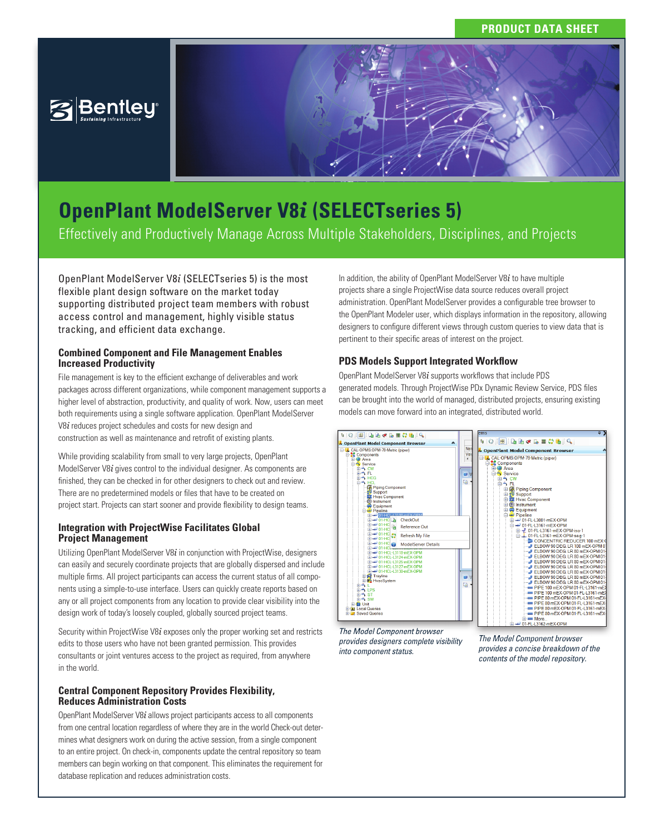# **PRODUCT DATA SHEET**





Effectively and Productively Manage Across Multiple Stakeholders, Disciplines, and Projects

OpenPlant ModelServer V8*i* (SELECTseries 5) is the most flexible plant design software on the market today supporting distributed project team members with robust access control and management, highly visible status tracking, and efficient data exchange.

## **Combined Component and File Management Enables Increased Productivity**

File management is key to the efficient exchange of deliverables and work packages across different organizations, while component management supports a higher level of abstraction, productivity, and quality of work. Now, users can meet both requirements using a single software application. OpenPlant ModelServer V8*i* reduces project schedules and costs for new design and construction as well as maintenance and retrofit of existing plants.

While providing scalability from small to very large projects, OpenPlant ModelServer V8*i* gives control to the individual designer. As components are finished, they can be checked in for other designers to check out and review. There are no predetermined models or files that have to be created on project start. Projects can start sooner and provide flexibility to design teams.

# **Integration with ProjectWise Facilitates Global Project Management**

Utilizing OpenPlant ModelServer V8*i* in conjunction with ProjectWise, designers can easily and securely coordinate projects that are globally dispersed and include multiple firms. All project participants can access the current status of all components using a simple-to-use interface. Users can quickly create reports based on any or all project components from any location to provide clear visibility into the design work of today's loosely coupled, globally sourced project teams.

Security within ProjectWise V8*i* exposes only the proper working set and restricts edits to those users who have not been granted permission. This provides consultants or joint ventures access to the project as required, from anywhere in the world.

# **Central Component Repository Provides Flexibility, Reduces Administration Costs**

OpenPlant ModelServer V8*i* allows project participants access to all components from one central location regardless of where they are in the world Check-out determines what designers work on during the active session, from a single component to an entire project. On check-in, components update the central repository so team members can begin working on that component. This eliminates the requirement for database replication and reduces administration costs.

In addition, the ability of OpenPlant ModelServer V8*i* to have multiple projects share a single ProjectWise data source reduces overall project administration. OpenPlant ModelServer provides a configurable tree browser to the OpenPlant Modeler user, which displays information in the repository, allowing designers to configure different views through custom queries to view data that is pertinent to their specific areas of interest on the project.

# **PDS Models Support Integrated Workflow**

OpenPlant ModelServer V8*i* supports workflows that include PDS generated models. Through ProjectWise PDx Dynamic Review Service, PDS files can be brought into the world of managed, distributed projects, ensuring existing models can move forward into an integrated, distributed world.



*The Model Component browser provides designers complete visibility into component status.*

*provides a concise breakdown of the contents of the model repository.*